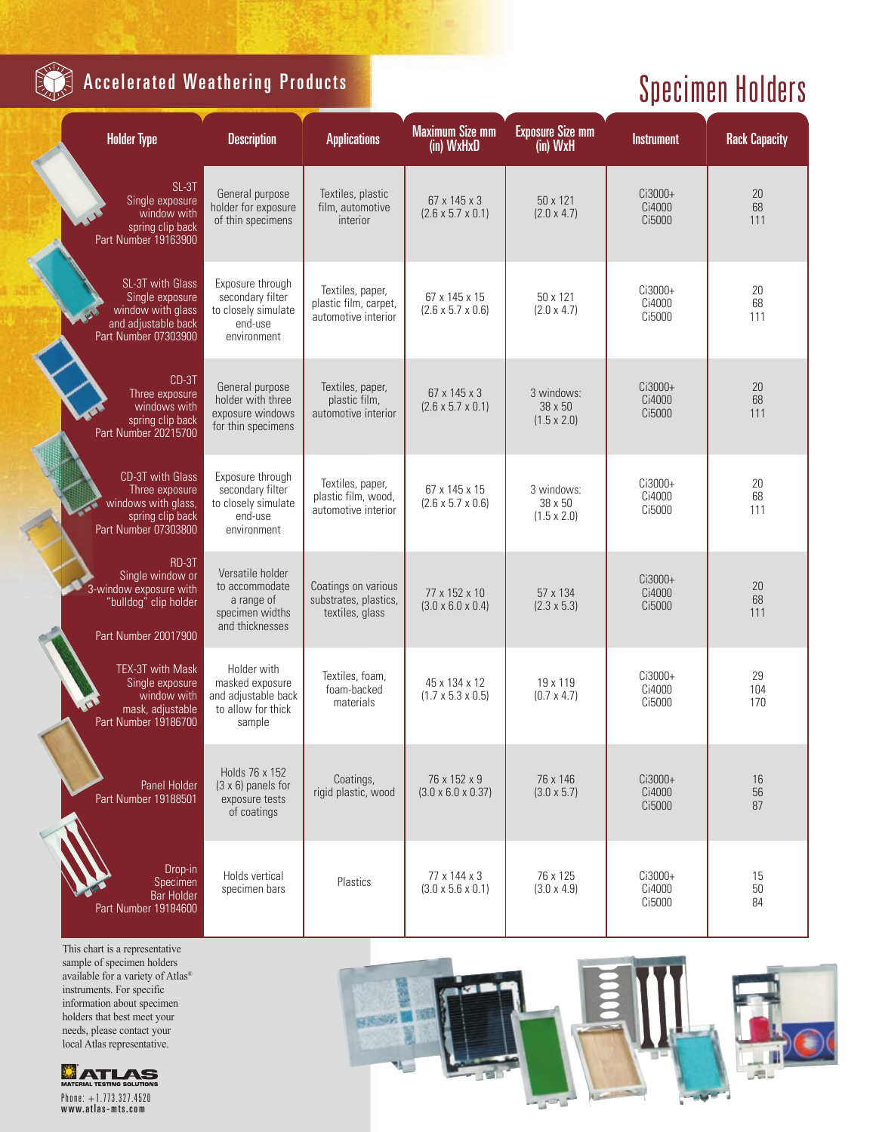

## **Accelerated Weathering Products**

## Specimen Holders

| <b>Holder Type</b><br><b>Description</b>                                                                |                                                                                        | <b>Applications</b>                                              | <b>Maximum Size mm</b><br>(in) WxHxD           | <b>Exposure Size mm</b><br>(in) WxH         | <b>Instrument</b>           | <b>Rack Capacity</b> |
|---------------------------------------------------------------------------------------------------------|----------------------------------------------------------------------------------------|------------------------------------------------------------------|------------------------------------------------|---------------------------------------------|-----------------------------|----------------------|
| SL-3T<br>Single exposure<br>window with<br>spring clip back<br>Part Number 19163900                     | General purpose<br>holder for exposure<br>of thin specimens                            | Textiles, plastic<br>film, automotive<br>interior                | 67 x 145 x 3<br>$(2.6 \times 5.7 \times 0.1)$  | 50 x 121<br>(2.0 x 4.7)                     | Ci3000+<br>Ci4000<br>Ci5000 | 20<br>68<br>111      |
| SL-3T with Glass<br>Single exposure<br>window with glass<br>and adjustable back<br>Part Number 07303900 | Exposure through<br>secondary filter<br>to closely simulate<br>end-use<br>environment  | Textiles, paper,<br>plastic film, carpet,<br>automotive interior | 67 x 145 x 15<br>$(2.6 \times 5.7 \times 0.6)$ | 50 x 121<br>$(2.0 \times 4.7)$              | Ci3000+<br>Ci4000<br>Ci5000 | 20<br>68<br>111      |
| CD-3T<br>Three exposure<br>windows with<br>spring clip back<br>Part Number 20215700                     | General purpose<br>holder with three<br>exposure windows<br>for thin specimens         | Textiles, paper,<br>plastic film,<br>automotive interior         | 67 x 145 x 3<br>$(2.6 \times 5.7 \times 0.1)$  | 3 windows:<br>38 x 50<br>$(1.5 \times 2.0)$ | Ci3000+<br>Ci4000<br>Ci5000 | 20<br>68<br>111      |
| CD-3T with Glass<br>Three exposure<br>windows with glass,<br>spring clip back<br>Part Number 07303800   | Exposure through<br>secondary filter<br>to closely simulate<br>end-use<br>environment  | Textiles, paper,<br>plastic film, wood.<br>automotive interior   | 67 x 145 x 15<br>$(2.6 \times 5.7 \times 0.6)$ | 3 windows:<br>38 x 50<br>$(1.5 \times 2.0)$ | Ci3000+<br>Ci4000<br>Ci5000 | 20<br>68<br>111      |
| RD-3T<br>Single window or<br>3-window exposure with<br>"bulldog" clip holder<br>Part Number 20017900    | Versatile holder<br>to accommodate<br>a range of<br>specimen widths<br>and thicknesses | Coatings on various<br>substrates, plastics,<br>textiles, glass  | 77 x 152 x 10<br>$(3.0 \times 6.0 \times 0.4)$ | 57 x 134<br>$(2.3 \times 5.3)$              | Ci3000+<br>Ci4000<br>Ci5000 | 20<br>68<br>111      |
| TEX-3T with Mask<br>Single exposure<br>window with<br>mask, adjustable<br>Part Number 19186700          | Holder with<br>masked exposure<br>and adjustable back<br>to allow for thick<br>sample  | Textiles, foam,<br>foam-backed<br>materials                      | 45 x 134 x 12<br>$(1.7 \times 5.3 \times 0.5)$ | 19 x 119<br>$(0.7 \times 4.7)$              | Ci3000+<br>Ci4000<br>Ci5000 | 29<br>104<br>170     |
| Panel Holder<br>Part Number 19188501                                                                    | Holds 76 x 152<br>$(3 \times 6)$ panels for<br>exposure tests<br>of coatings           | Coatings,<br>rigid plastic, wood                                 | 76 x 152 x 9<br>$(3.0 \times 6.0 \times 0.37)$ | 76 x 146<br>$(3.0 \times 5.7)$              | Ci3000+<br>Ci4000<br>Ci5000 | 16<br>56<br>87       |
| Drop-in<br>Specimen<br><b>Bar Holder</b><br>Part Number 19184600                                        | Holds vertical<br>specimen bars                                                        | Plastics                                                         | 77 x 144 x 3<br>$(3.0 \times 5.6 \times 0.1)$  | 76 x 125<br>$(3.0 \times 4.9)$              | Ci3000+<br>Ci4000<br>Ci5000 | 15<br>50<br>84       |

This chart is a representative sample of specimen holders available for a variety of Atlas® instruments. For specific information about specimen holders that best meet your needs, please contact your local Atlas representative.